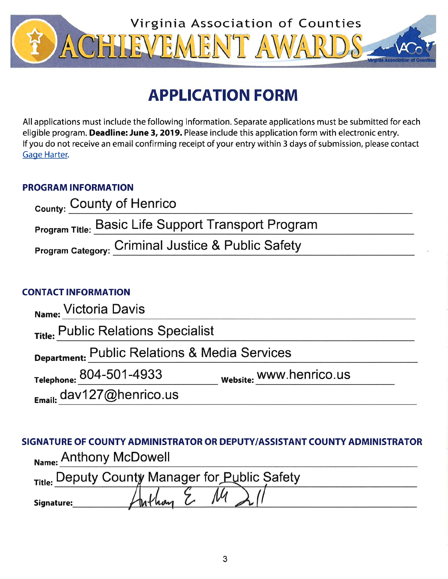

# **APPLICATION FORM**

All applications must include the following information. Separate applications must be submitted for each eligible program. Deadline: June 3, 2019. Please include this application form with electronic entry. If you do not receive an email confirming receipt of your entry within 3 days of submission, please contact Gage Harter.

## **PROGRAM INFORMATION**

| <sub>County:</sub> County of Henrico                       |  |
|------------------------------------------------------------|--|
| <b>Program Title: Basic Life Support Transport Program</b> |  |
| Program Category: Criminal Justice & Public Safety         |  |

### **CONTACT INFORMATION**

| Name: Victoria Davis                          |                         |
|-----------------------------------------------|-------------------------|
| Title: Public Relations Specialist            |                         |
| Department: Public Relations & Media Services |                         |
| Telephone: 804-501-4933                       | website: WWW.henrico.us |
| Email: dav127@henrico.us                      |                         |

## SIGNATURE OF COUNTY ADMINISTRATOR OR DEPUTY/ASSISTANT COUNTY ADMINISTRATOR Name: Anthony McDowell

|            | Title: Deputy County Manager for Public Safety |  |
|------------|------------------------------------------------|--|
| Signature: |                                                |  |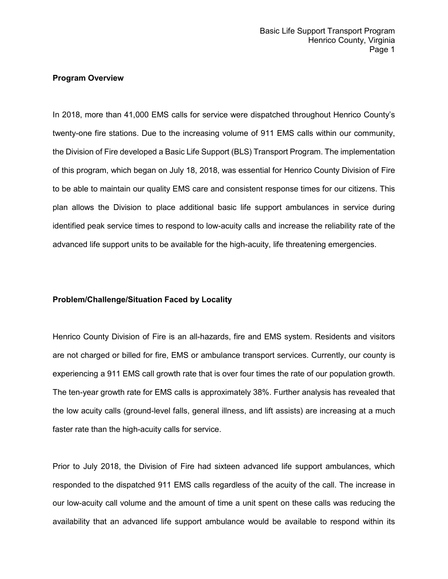#### **Program Overview**

In 2018, more than 41,000 EMS calls for service were dispatched throughout Henrico County's twenty-one fire stations. Due to the increasing volume of 911 EMS calls within our community, the Division of Fire developed a Basic Life Support (BLS) Transport Program. The implementation of this program, which began on July 18, 2018, was essential for Henrico County Division of Fire to be able to maintain our quality EMS care and consistent response times for our citizens. This plan allows the Division to place additional basic life support ambulances in service during identified peak service times to respond to low-acuity calls and increase the reliability rate of the advanced life support units to be available for the high-acuity, life threatening emergencies.

#### **Problem/Challenge/Situation Faced by Locality**

Henrico County Division of Fire is an all-hazards, fire and EMS system. Residents and visitors are not charged or billed for fire, EMS or ambulance transport services. Currently, our county is experiencing a 911 EMS call growth rate that is over four times the rate of our population growth. The ten-year growth rate for EMS calls is approximately 38%. Further analysis has revealed that the low acuity calls (ground-level falls, general illness, and lift assists) are increasing at a much faster rate than the high-acuity calls for service.

Prior to July 2018, the Division of Fire had sixteen advanced life support ambulances, which responded to the dispatched 911 EMS calls regardless of the acuity of the call. The increase in our low-acuity call volume and the amount of time a unit spent on these calls was reducing the availability that an advanced life support ambulance would be available to respond within its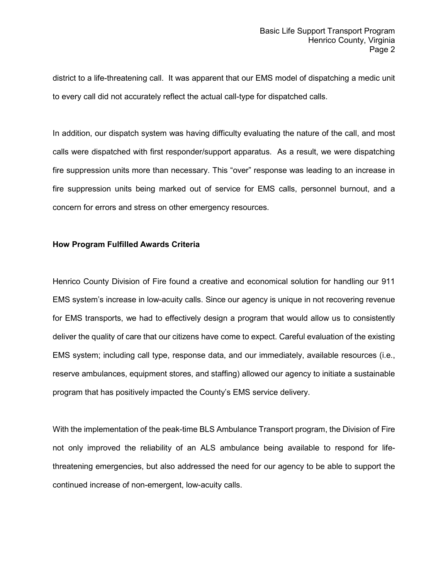district to a life-threatening call. It was apparent that our EMS model of dispatching a medic unit to every call did not accurately reflect the actual call-type for dispatched calls.

In addition, our dispatch system was having difficulty evaluating the nature of the call, and most calls were dispatched with first responder/support apparatus. As a result, we were dispatching fire suppression units more than necessary. This "over" response was leading to an increase in fire suppression units being marked out of service for EMS calls, personnel burnout, and a concern for errors and stress on other emergency resources.

#### **How Program Fulfilled Awards Criteria**

Henrico County Division of Fire found a creative and economical solution for handling our 911 EMS system's increase in low-acuity calls. Since our agency is unique in not recovering revenue for EMS transports, we had to effectively design a program that would allow us to consistently deliver the quality of care that our citizens have come to expect. Careful evaluation of the existing EMS system; including call type, response data, and our immediately, available resources (i.e., reserve ambulances, equipment stores, and staffing) allowed our agency to initiate a sustainable program that has positively impacted the County's EMS service delivery.

With the implementation of the peak-time BLS Ambulance Transport program, the Division of Fire not only improved the reliability of an ALS ambulance being available to respond for lifethreatening emergencies, but also addressed the need for our agency to be able to support the continued increase of non-emergent, low-acuity calls.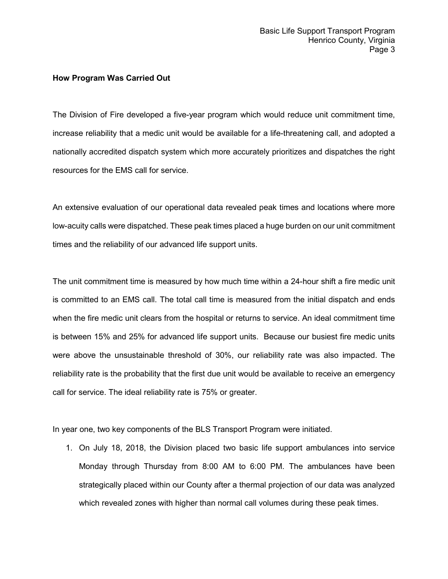#### **How Program Was Carried Out**

The Division of Fire developed a five-year program which would reduce unit commitment time, increase reliability that a medic unit would be available for a life-threatening call, and adopted a nationally accredited dispatch system which more accurately prioritizes and dispatches the right resources for the EMS call for service.

An extensive evaluation of our operational data revealed peak times and locations where more low-acuity calls were dispatched. These peak times placed a huge burden on our unit commitment times and the reliability of our advanced life support units.

The unit commitment time is measured by how much time within a 24-hour shift a fire medic unit is committed to an EMS call. The total call time is measured from the initial dispatch and ends when the fire medic unit clears from the hospital or returns to service. An ideal commitment time is between 15% and 25% for advanced life support units. Because our busiest fire medic units were above the unsustainable threshold of 30%, our reliability rate was also impacted. The reliability rate is the probability that the first due unit would be available to receive an emergency call for service. The ideal reliability rate is 75% or greater.

In year one, two key components of the BLS Transport Program were initiated.

1. On July 18, 2018, the Division placed two basic life support ambulances into service Monday through Thursday from 8:00 AM to 6:00 PM. The ambulances have been strategically placed within our County after a thermal projection of our data was analyzed which revealed zones with higher than normal call volumes during these peak times.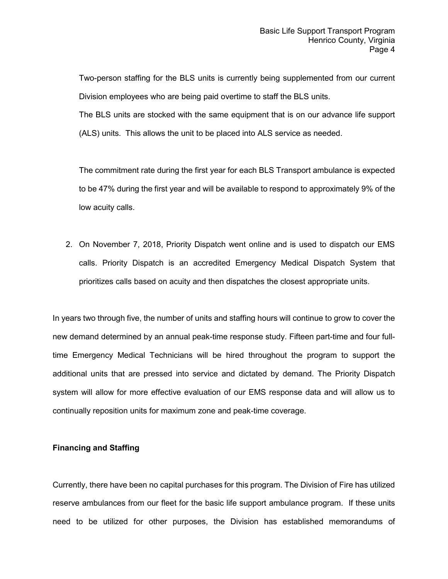Two-person staffing for the BLS units is currently being supplemented from our current Division employees who are being paid overtime to staff the BLS units.

The BLS units are stocked with the same equipment that is on our advance life support (ALS) units. This allows the unit to be placed into ALS service as needed.

The commitment rate during the first year for each BLS Transport ambulance is expected to be 47% during the first year and will be available to respond to approximately 9% of the low acuity calls.

2. On November 7, 2018, Priority Dispatch went online and is used to dispatch our EMS calls. Priority Dispatch is an accredited Emergency Medical Dispatch System that prioritizes calls based on acuity and then dispatches the closest appropriate units.

In years two through five, the number of units and staffing hours will continue to grow to cover the new demand determined by an annual peak-time response study. Fifteen part-time and four fulltime Emergency Medical Technicians will be hired throughout the program to support the additional units that are pressed into service and dictated by demand. The Priority Dispatch system will allow for more effective evaluation of our EMS response data and will allow us to continually reposition units for maximum zone and peak-time coverage.

#### **Financing and Staffing**

Currently, there have been no capital purchases for this program. The Division of Fire has utilized reserve ambulances from our fleet for the basic life support ambulance program. If these units need to be utilized for other purposes, the Division has established memorandums of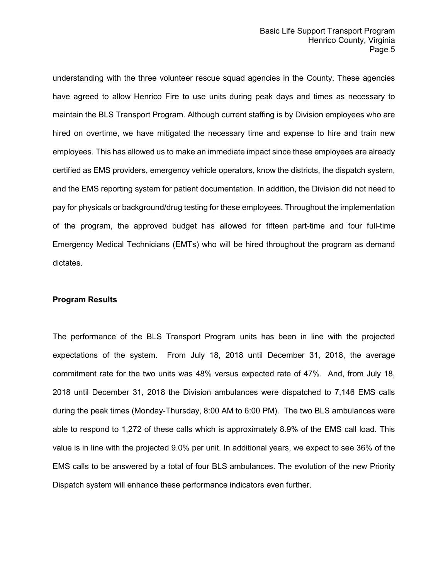understanding with the three volunteer rescue squad agencies in the County. These agencies have agreed to allow Henrico Fire to use units during peak days and times as necessary to maintain the BLS Transport Program. Although current staffing is by Division employees who are hired on overtime, we have mitigated the necessary time and expense to hire and train new employees. This has allowed us to make an immediate impact since these employees are already certified as EMS providers, emergency vehicle operators, know the districts, the dispatch system, and the EMS reporting system for patient documentation. In addition, the Division did not need to pay for physicals or background/drug testing for these employees. Throughout the implementation of the program, the approved budget has allowed for fifteen part-time and four full-time Emergency Medical Technicians (EMTs) who will be hired throughout the program as demand dictates.

#### **Program Results**

The performance of the BLS Transport Program units has been in line with the projected expectations of the system. From July 18, 2018 until December 31, 2018, the average commitment rate for the two units was 48% versus expected rate of 47%. And, from July 18, 2018 until December 31, 2018 the Division ambulances were dispatched to 7,146 EMS calls during the peak times (Monday-Thursday, 8:00 AM to 6:00 PM). The two BLS ambulances were able to respond to 1,272 of these calls which is approximately 8.9% of the EMS call load. This value is in line with the projected 9.0% per unit. In additional years, we expect to see 36% of the EMS calls to be answered by a total of four BLS ambulances. The evolution of the new Priority Dispatch system will enhance these performance indicators even further.